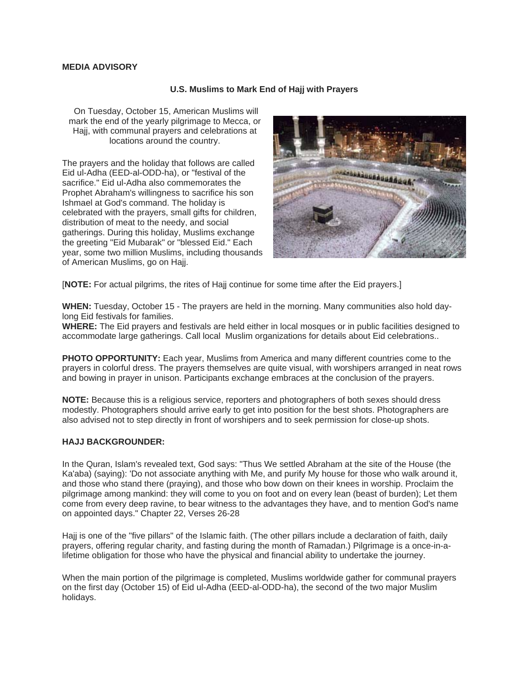## **MEDIA ADVISORY**

## **U.S. Muslims to Mark End of Hajj with Prayers**

 On Tuesday, October 15, American Muslims will mark the end of the yearly pilgrimage to Mecca, or Hajj, with communal prayers and celebrations at locations around the country.

The prayers and the holiday that follows are called Eid ul-Adha (EED-al-ODD-ha), or "festival of the sacrifice." Eid ul-Adha also commemorates the Prophet Abraham's willingness to sacrifice his son Ishmael at God's command. The holiday is celebrated with the prayers, small gifts for children, distribution of meat to the needy, and social gatherings. During this holiday, Muslims exchange the greeting "Eid Mubarak" or "blessed Eid." Each year, some two million Muslims, including thousands of American Muslims, go on Hajj.



[**NOTE:** For actual pilgrims, the rites of Hajj continue for some time after the Eid prayers.]

**WHEN:** Tuesday, October 15 - The prayers are held in the morning. Many communities also hold daylong Eid festivals for families.

**WHERE:** The Eid prayers and festivals are held either in local mosques or in public facilities designed to accommodate large gatherings. Call local Muslim organizations for details about Eid celebrations..

**PHOTO OPPORTUNITY:** Each year, Muslims from America and many different countries come to the prayers in colorful dress. The prayers themselves are quite visual, with worshipers arranged in neat rows and bowing in prayer in unison. Participants exchange embraces at the conclusion of the prayers.

**NOTE:** Because this is a religious service, reporters and photographers of both sexes should dress modestly. Photographers should arrive early to get into position for the best shots. Photographers are also advised not to step directly in front of worshipers and to seek permission for close-up shots.

## **HAJJ BACKGROUNDER:**

In the Quran, Islam's revealed text, God says: "Thus We settled Abraham at the site of the House (the Ka'aba) (saying): 'Do not associate anything with Me, and purify My house for those who walk around it, and those who stand there (praying), and those who bow down on their knees in worship. Proclaim the pilgrimage among mankind: they will come to you on foot and on every lean (beast of burden); Let them come from every deep ravine, to bear witness to the advantages they have, and to mention God's name on appointed days." Chapter 22, Verses 26-28

Hajj is one of the "five pillars" of the Islamic faith. (The other pillars include a declaration of faith, daily prayers, offering regular charity, and fasting during the month of Ramadan.) Pilgrimage is a once-in-alifetime obligation for those who have the physical and financial ability to undertake the journey.

When the main portion of the pilgrimage is completed, Muslims worldwide gather for communal prayers on the first day (October 15) of Eid ul-Adha (EED-al-ODD-ha), the second of the two major Muslim holidays.